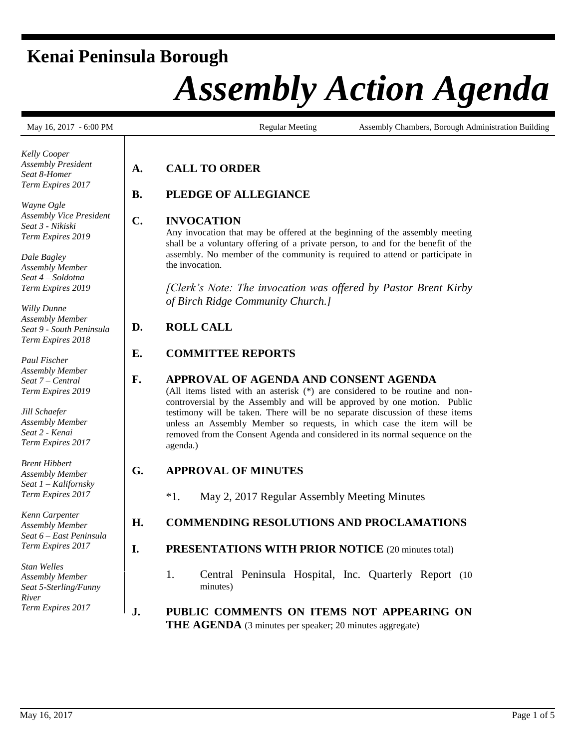# **Kenai Peninsula Borough**

# *Assembly Action Agenda*

*Kelly Cooper Assembly President Seat 8-Homer Term Expires 2017*

*Wayne Ogle Assembly Vice President Seat 3 - Nikiski Term Expires 2019*

*Dale Bagley Assembly Member Seat 4 – Soldotna Term Expires 2019*

*Willy Dunne Assembly Member Seat 9 - South Peninsula Term Expires 2018*

*Paul Fischer Assembly Member Seat 7 – Central Term Expires 2019*

*Jill Schaefer Assembly Member Seat 2 - Kenai Term Expires 2017*

*Brent Hibbert Assembly Member Seat 1 – Kalifornsky Term Expires 2017*

*Kenn Carpenter Assembly Member Seat 6 – East Peninsula Term Expires 2017*

*Stan Welles Assembly Member Seat 5-Sterling/Funny River Term Expires 2017*

May 16, 2017 - 6:00 PM Regular Meeting Assembly Chambers, Borough Administration Building

# **A. CALL TO ORDER**

# **B. PLEDGE OF ALLEGIANCE**

#### **C. INVOCATION**

Any invocation that may be offered at the beginning of the assembly meeting shall be a voluntary offering of a private person, to and for the benefit of the assembly. No member of the community is required to attend or participate in the invocation.

*[Clerk's Note: The invocation was offered by Pastor Brent Kirby of Birch Ridge Community Church.]*

# **D. ROLL CALL**

# **E. COMMITTEE REPORTS**

#### **F. APPROVAL OF AGENDA AND CONSENT AGENDA**

(All items listed with an asterisk (\*) are considered to be routine and noncontroversial by the Assembly and will be approved by one motion. Public testimony will be taken. There will be no separate discussion of these items unless an Assembly Member so requests, in which case the item will be removed from the Consent Agenda and considered in its normal sequence on the agenda.)

## **G. APPROVAL OF MINUTES**

\*1. May 2, 2017 Regular Assembly Meeting Minutes

## **H. COMMENDING RESOLUTIONS AND PROCLAMATIONS**

#### **I. PRESENTATIONS WITH PRIOR NOTICE** (20 minutes total)

- 1. Central Peninsula Hospital, Inc. Quarterly Report (10 minutes)
- **J. PUBLIC COMMENTS ON ITEMS NOT APPEARING ON THE AGENDA** (3 minutes per speaker; 20 minutes aggregate)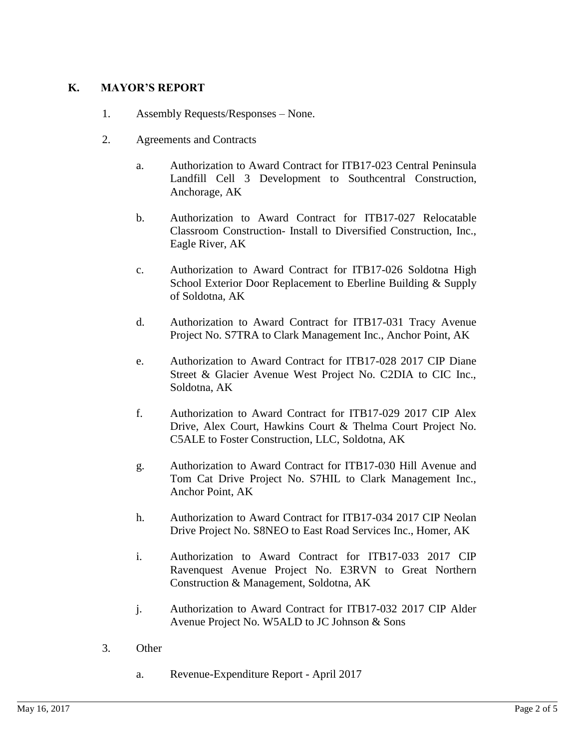#### **K. MAYOR'S REPORT**

- 1. Assembly Requests/Responses None.
- 2. Agreements and Contracts
	- a. Authorization to Award Contract for ITB17-023 Central Peninsula Landfill Cell 3 Development to Southcentral Construction, Anchorage, AK
	- b. Authorization to Award Contract for ITB17-027 Relocatable Classroom Construction- Install to Diversified Construction, Inc., Eagle River, AK
	- c. Authorization to Award Contract for ITB17-026 Soldotna High School Exterior Door Replacement to Eberline Building & Supply of Soldotna, AK
	- d. Authorization to Award Contract for ITB17-031 Tracy Avenue Project No. S7TRA to Clark Management Inc., Anchor Point, AK
	- e. Authorization to Award Contract for ITB17-028 2017 CIP Diane Street & Glacier Avenue West Project No. C2DIA to CIC Inc., Soldotna, AK
	- f. Authorization to Award Contract for ITB17-029 2017 CIP Alex Drive, Alex Court, Hawkins Court & Thelma Court Project No. C5ALE to Foster Construction, LLC, Soldotna, AK
	- g. Authorization to Award Contract for ITB17-030 Hill Avenue and Tom Cat Drive Project No. S7HIL to Clark Management Inc., Anchor Point, AK
	- h. Authorization to Award Contract for ITB17-034 2017 CIP Neolan Drive Project No. S8NEO to East Road Services Inc., Homer, AK
	- i. Authorization to Award Contract for ITB17-033 2017 CIP Ravenquest Avenue Project No. E3RVN to Great Northern Construction & Management, Soldotna, AK
	- j. Authorization to Award Contract for ITB17-032 2017 CIP Alder Avenue Project No. W5ALD to JC Johnson & Sons
- 3. Other
	- a. Revenue-Expenditure Report April 2017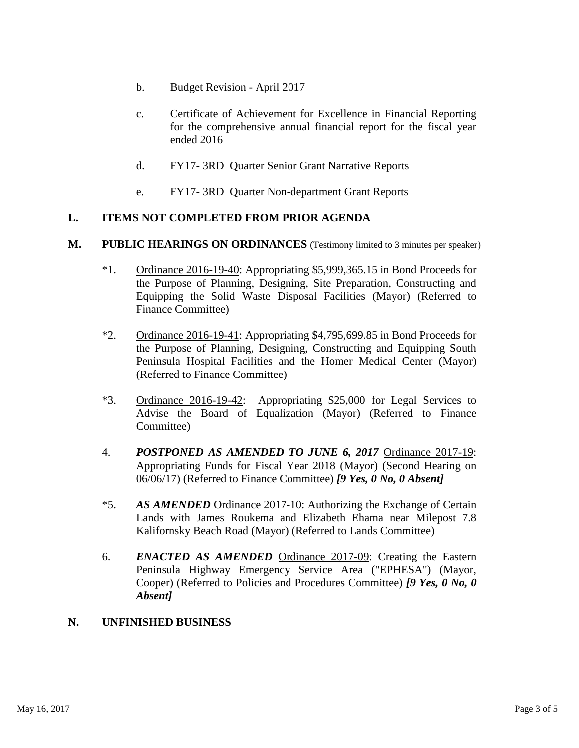- b. Budget Revision April 2017
- c. Certificate of Achievement for Excellence in Financial Reporting for the comprehensive annual financial report for the fiscal year ended 2016
- d. FY17- 3RD Quarter Senior Grant Narrative Reports
- e. FY17- 3RD Quarter Non-department Grant Reports

#### **L. ITEMS NOT COMPLETED FROM PRIOR AGENDA**

- **M. PUBLIC HEARINGS ON ORDINANCES** (Testimony limited to 3 minutes per speaker)
	- \*1. Ordinance 2016-19-40: Appropriating \$5,999,365.15 in Bond Proceeds for the Purpose of Planning, Designing, Site Preparation, Constructing and Equipping the Solid Waste Disposal Facilities (Mayor) (Referred to Finance Committee)
	- \*2. Ordinance 2016-19-41: Appropriating \$4,795,699.85 in Bond Proceeds for the Purpose of Planning, Designing, Constructing and Equipping South Peninsula Hospital Facilities and the Homer Medical Center (Mayor) (Referred to Finance Committee)
	- \*3. Ordinance 2016-19-42: Appropriating \$25,000 for Legal Services to Advise the Board of Equalization (Mayor) (Referred to Finance Committee)
	- 4. *POSTPONED AS AMENDED TO JUNE 6, 2017* Ordinance 2017-19: Appropriating Funds for Fiscal Year 2018 (Mayor) (Second Hearing on 06/06/17) (Referred to Finance Committee) *[9 Yes, 0 No, 0 Absent]*
	- \*5. *AS AMENDED* Ordinance 2017-10: Authorizing the Exchange of Certain Lands with James Roukema and Elizabeth Ehama near Milepost 7.8 Kalifornsky Beach Road (Mayor) (Referred to Lands Committee)
	- 6. *ENACTED AS AMENDED* Ordinance 2017-09: Creating the Eastern Peninsula Highway Emergency Service Area ("EPHESA") (Mayor, Cooper) (Referred to Policies and Procedures Committee) *[9 Yes, 0 No, 0 Absent]*

#### **N. UNFINISHED BUSINESS**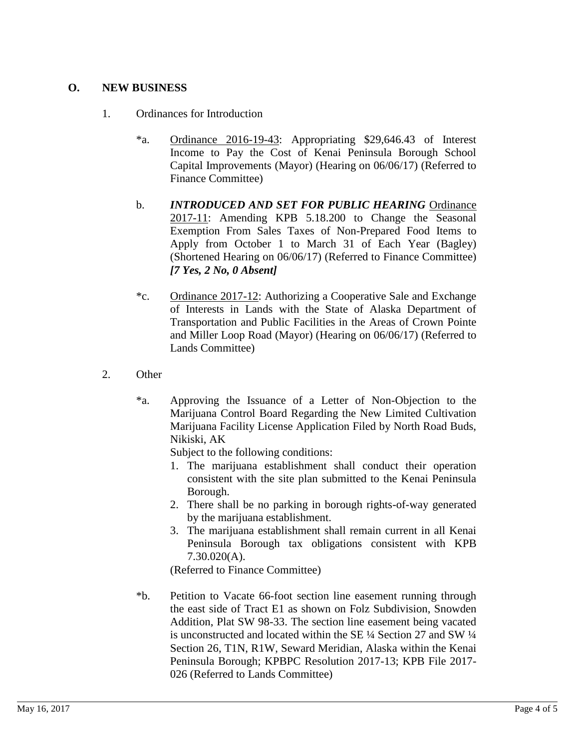#### **O. NEW BUSINESS**

- 1. Ordinances for Introduction
	- \*a. Ordinance 2016-19-43: Appropriating \$29,646.43 of Interest Income to Pay the Cost of Kenai Peninsula Borough School Capital Improvements (Mayor) (Hearing on 06/06/17) (Referred to Finance Committee)
	- b. *INTRODUCED AND SET FOR PUBLIC HEARING* Ordinance 2017-11: Amending KPB 5.18.200 to Change the Seasonal Exemption From Sales Taxes of Non-Prepared Food Items to Apply from October 1 to March 31 of Each Year (Bagley) (Shortened Hearing on 06/06/17) (Referred to Finance Committee) *[7 Yes, 2 No, 0 Absent]*
	- \*c. Ordinance 2017-12: Authorizing a Cooperative Sale and Exchange of Interests in Lands with the State of Alaska Department of Transportation and Public Facilities in the Areas of Crown Pointe and Miller Loop Road (Mayor) (Hearing on 06/06/17) (Referred to Lands Committee)
- 2. Other
	- \*a. Approving the Issuance of a Letter of Non-Objection to the Marijuana Control Board Regarding the New Limited Cultivation Marijuana Facility License Application Filed by North Road Buds, Nikiski, AK

Subject to the following conditions:

- 1. The marijuana establishment shall conduct their operation consistent with the site plan submitted to the Kenai Peninsula Borough.
- 2. There shall be no parking in borough rights-of-way generated by the marijuana establishment.
- 3. The marijuana establishment shall remain current in all Kenai Peninsula Borough tax obligations consistent with KPB 7.30.020(A).

(Referred to Finance Committee)

\*b. Petition to Vacate 66-foot section line easement running through the east side of Tract E1 as shown on Folz Subdivision, Snowden Addition, Plat SW 98-33. The section line easement being vacated is unconstructed and located within the SE ¼ Section 27 and SW ¼ Section 26, T1N, R1W, Seward Meridian, Alaska within the Kenai Peninsula Borough; KPBPC Resolution 2017-13; KPB File 2017- 026 (Referred to Lands Committee)